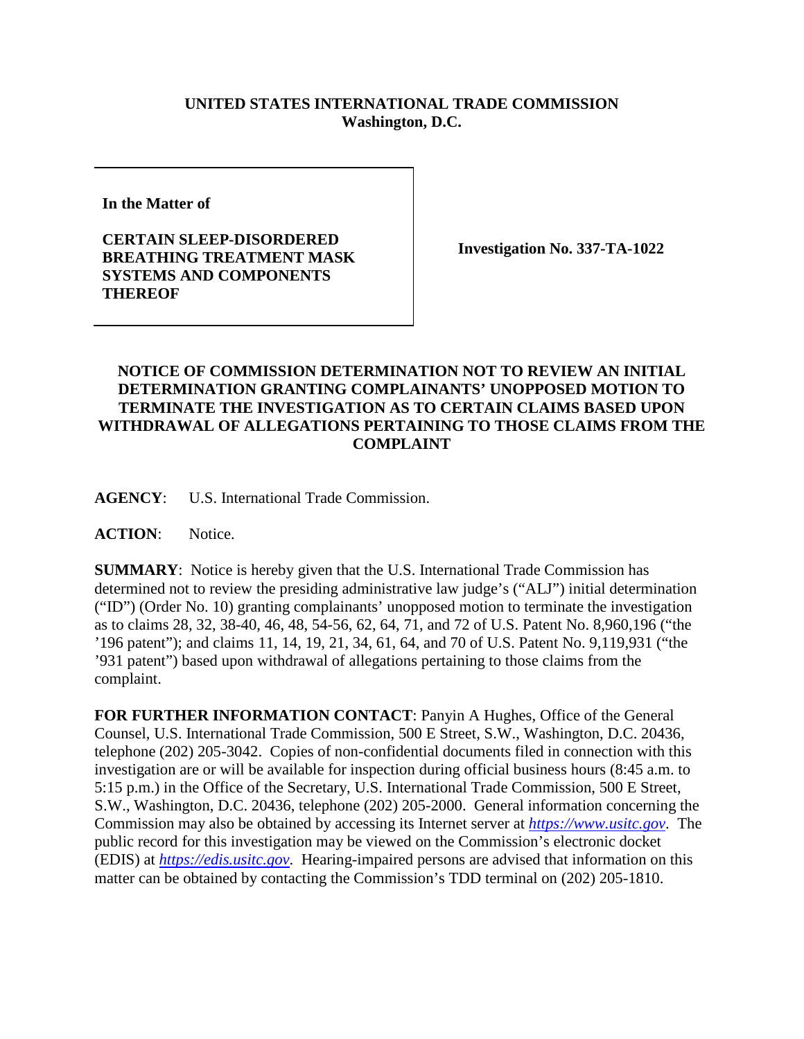## **UNITED STATES INTERNATIONAL TRADE COMMISSION Washington, D.C.**

**In the Matter of**

**CERTAIN SLEEP-DISORDERED BREATHING TREATMENT MASK SYSTEMS AND COMPONENTS THEREOF**

**Investigation No. 337-TA-1022**

## **NOTICE OF COMMISSION DETERMINATION NOT TO REVIEW AN INITIAL DETERMINATION GRANTING COMPLAINANTS' UNOPPOSED MOTION TO TERMINATE THE INVESTIGATION AS TO CERTAIN CLAIMS BASED UPON WITHDRAWAL OF ALLEGATIONS PERTAINING TO THOSE CLAIMS FROM THE COMPLAINT**

**AGENCY**: U.S. International Trade Commission.

**ACTION**: Notice.

**SUMMARY**: Notice is hereby given that the U.S. International Trade Commission has determined not to review the presiding administrative law judge's ("ALJ") initial determination ("ID") (Order No. 10) granting complainants' unopposed motion to terminate the investigation as to claims 28, 32, 38-40, 46, 48, 54-56, 62, 64, 71, and 72 of U.S. Patent No. 8,960,196 ("the '196 patent"); and claims 11, 14, 19, 21, 34, 61, 64, and 70 of U.S. Patent No. 9,119,931 ("the '931 patent") based upon withdrawal of allegations pertaining to those claims from the complaint.

**FOR FURTHER INFORMATION CONTACT**: Panyin A Hughes, Office of the General Counsel, U.S. International Trade Commission, 500 E Street, S.W., Washington, D.C. 20436, telephone (202) 205-3042. Copies of non-confidential documents filed in connection with this investigation are or will be available for inspection during official business hours (8:45 a.m. to 5:15 p.m.) in the Office of the Secretary, U.S. International Trade Commission, 500 E Street, S.W., Washington, D.C. 20436, telephone (202) 205-2000. General information concerning the Commission may also be obtained by accessing its Internet server at *[https://www.usitc.gov](https://www.usitc.gov/)*. The public record for this investigation may be viewed on the Commission's electronic docket (EDIS) at *[https://edis.usitc.gov](https://edis.usitc.gov/)*. Hearing-impaired persons are advised that information on this matter can be obtained by contacting the Commission's TDD terminal on (202) 205-1810.